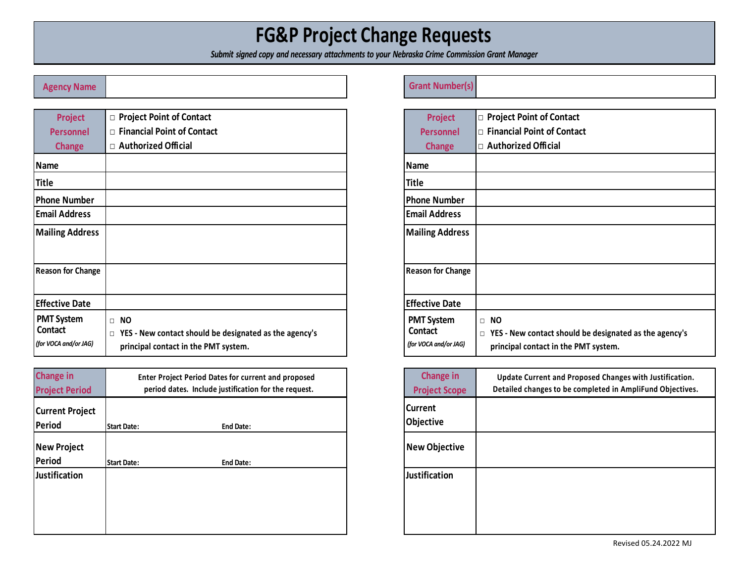# **FG&P Project Change Requests**

*Submit signed copy and necessary attachments to your Nebraska Crime Commission Grant Manager* 

| <b>Project</b>                                               | □ Project Point of Contact                                                                                                      | <b>Project</b>                                        |
|--------------------------------------------------------------|---------------------------------------------------------------------------------------------------------------------------------|-------------------------------------------------------|
| <b>Personnel</b>                                             | $\Box$ Financial Point of Contact                                                                                               | <b>Personnel</b>                                      |
| <b>Change</b>                                                | □ Authorized Official                                                                                                           | <b>Change</b>                                         |
| <b>Name</b>                                                  |                                                                                                                                 | <b>Name</b>                                           |
| <b>Title</b>                                                 |                                                                                                                                 | <b>Title</b>                                          |
| <b>Phone Number</b>                                          |                                                                                                                                 | <b>Phone Number</b>                                   |
| <b>Email Address</b>                                         |                                                                                                                                 | <b>Email Address</b>                                  |
| <b>Mailing Address</b>                                       |                                                                                                                                 | <b>Mailing Address</b>                                |
| <b>Reason for Change</b>                                     |                                                                                                                                 | <b>Reason for Change</b>                              |
| <b>Effective Date</b>                                        |                                                                                                                                 | <b>Effective Date</b>                                 |
| <b>PMT System</b><br><b>Contact</b><br>(for VOCA and/or JAG) | <b>NO</b><br>$\Box$<br>YES - New contact should be designated as the agency's<br>$\Box$<br>principal contact in the PMT system. | <b>PMT System</b><br>Contact<br>(for VOCA and/or JAG) |

| <b>Change in</b><br><b>Project Period</b> |                    | <b>Enter Project Period Dates for current and proposed</b><br>period dates. Include justification for the request. | <b>Change</b><br><b>Project Sco</b> |
|-------------------------------------------|--------------------|--------------------------------------------------------------------------------------------------------------------|-------------------------------------|
| <b>Current Project</b><br><b>Period</b>   | <b>Start Date:</b> | <b>End Date:</b>                                                                                                   | <b>Current</b><br>Objective         |
| <b>New Project</b><br><b>Period</b>       | <b>Start Date:</b> | <b>End Date:</b>                                                                                                   | <b>New Object</b>                   |
| <b>Justification</b>                      |                    |                                                                                                                    | Justification                       |

#### **Agency Name Grant Number(s)**

| <b>Project</b>                                               | □ Project Point of Contact                                                                                                 |
|--------------------------------------------------------------|----------------------------------------------------------------------------------------------------------------------------|
| <b>Personnel</b>                                             | <b>Financial Point of Contact</b><br>$\Box$                                                                                |
| <b>Change</b>                                                | □ Authorized Official                                                                                                      |
| Name                                                         |                                                                                                                            |
| Title                                                        |                                                                                                                            |
| <b>Phone Number</b>                                          |                                                                                                                            |
| <b>Email Address</b>                                         |                                                                                                                            |
| <b>Mailing Address</b>                                       |                                                                                                                            |
| <b>Reason for Change</b>                                     |                                                                                                                            |
| <b>Effective Date</b>                                        |                                                                                                                            |
| <b>PMT System</b><br><b>Contact</b><br>(for VOCA and/or JAG) | <b>NO</b><br>П<br>YES - New contact should be designated as the agency's<br>$\Box$<br>principal contact in the PMT system. |

| <b>Change in</b><br><b>Project Scope</b> | Update Current and Proposed Changes with Justification.<br>Detailed changes to be completed in AmpliFund Objectives. |
|------------------------------------------|----------------------------------------------------------------------------------------------------------------------|
| Current<br>Objective                     |                                                                                                                      |
| <b>New Objective</b>                     |                                                                                                                      |
| <b>Justification</b>                     |                                                                                                                      |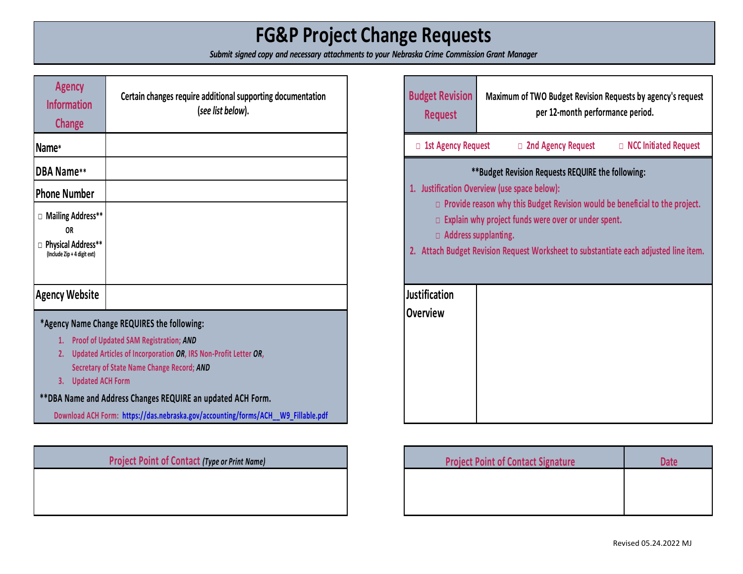# **FG&P Project Change Requests**

*Submit signed copy and necessary attachments to your Nebraska Crime Commission Grant Manager* 

| <b>Agency</b><br><b>Information</b><br><b>Change</b>                                    | Certain changes require additional supporting documentation<br>(see list below).                                                                                                                                                                                                                                                                                 |
|-----------------------------------------------------------------------------------------|------------------------------------------------------------------------------------------------------------------------------------------------------------------------------------------------------------------------------------------------------------------------------------------------------------------------------------------------------------------|
| Name*                                                                                   |                                                                                                                                                                                                                                                                                                                                                                  |
| <b>DBA Name**</b>                                                                       |                                                                                                                                                                                                                                                                                                                                                                  |
| <b>Phone Number</b>                                                                     |                                                                                                                                                                                                                                                                                                                                                                  |
| □ Mailing Address**<br><b>OR</b><br>□ Physical Address**<br>(Include Zip + 4 digit ext) |                                                                                                                                                                                                                                                                                                                                                                  |
| <b>Agency Website</b>                                                                   |                                                                                                                                                                                                                                                                                                                                                                  |
| 1.<br>2.<br><b>Updated ACH Form</b><br>3.                                               | *Agency Name Change REQUIRES the following:<br><b>Proof of Updated SAM Registration; AND</b><br>Updated Articles of Incorporation OR, IRS Non-Profit Letter OR,<br>Secretary of State Name Change Record; AND<br>**DBA Name and Address Changes REQUIRE an updated ACH Form.<br>Download ACH Form: https://das.nebraska.gov/accounting/forms/ACH W9 Fillable.pdf |

#### **Project Point of Contact (Type or Print Name)**

| <b>Budget Revision</b><br><b>Request</b>                                                                                                                                                                                                                                                                                                                              | Maximum of TWO Budget Revision Requests by agency's request<br>per 12-month performance period. |  |  |
|-----------------------------------------------------------------------------------------------------------------------------------------------------------------------------------------------------------------------------------------------------------------------------------------------------------------------------------------------------------------------|-------------------------------------------------------------------------------------------------|--|--|
| □ 1st Agency Request                                                                                                                                                                                                                                                                                                                                                  | □ 2nd Agency Request<br>□ NCC Initiated Request                                                 |  |  |
| ** Budget Revision Requests REQUIRE the following:<br>1. Justification Overview (use space below):<br>Provide reason why this Budget Revision would be beneficial to the project.<br>П.<br>Explain why project funds were over or under spent.<br>$\Box$ Address supplanting.<br>2. Attach Budget Revision Request Worksheet to substantiate each adjusted line item. |                                                                                                 |  |  |
| <b>Justification</b><br><b>Overview</b>                                                                                                                                                                                                                                                                                                                               |                                                                                                 |  |  |

| <b>Project Point of Contact Signature</b> | <b>Date</b> |
|-------------------------------------------|-------------|
|                                           |             |
|                                           |             |